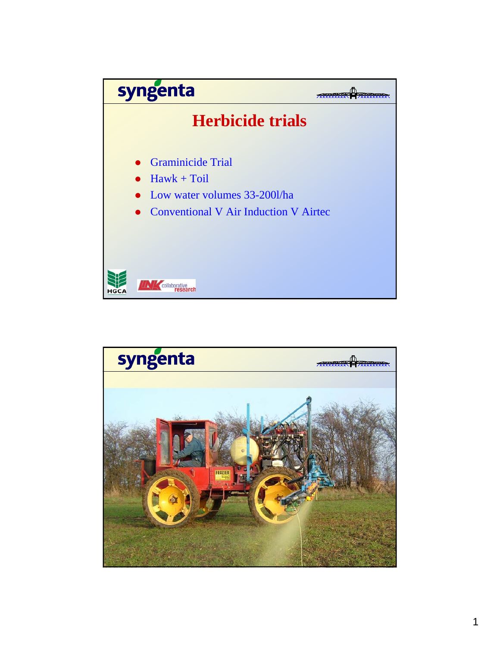

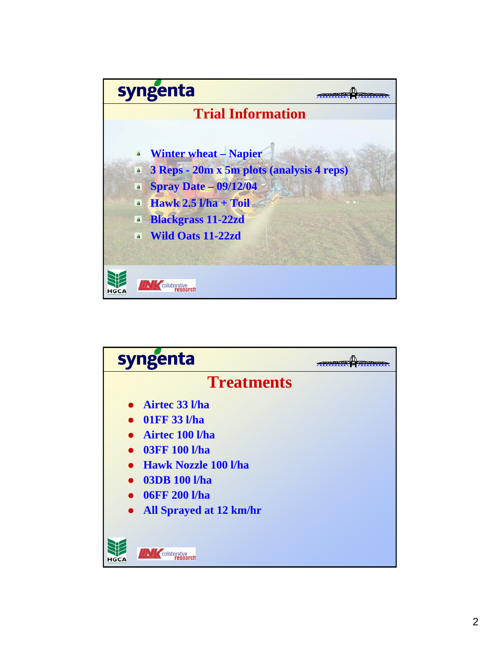

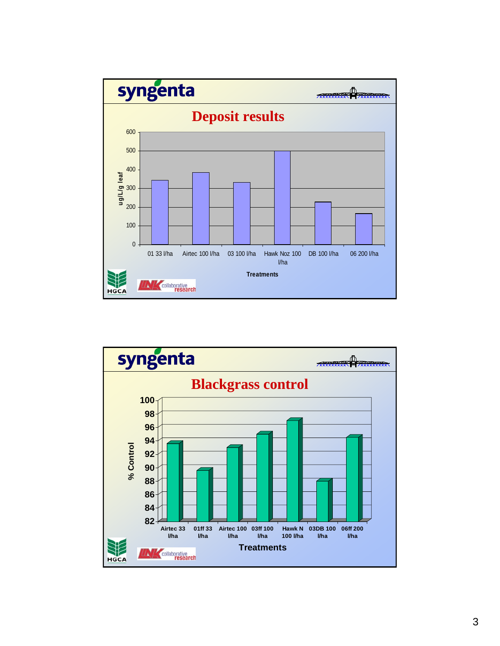

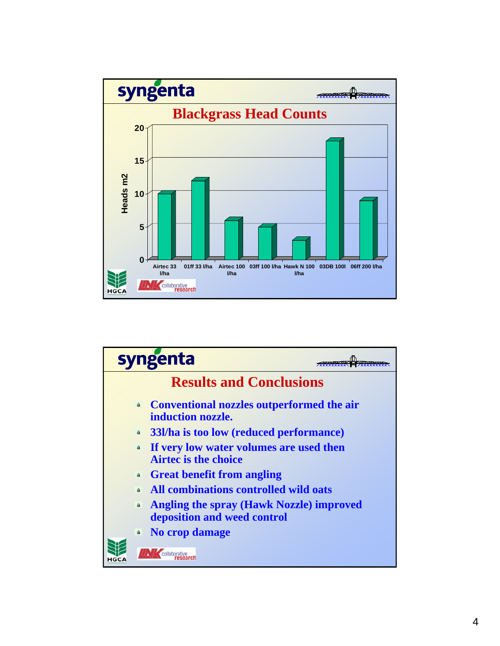